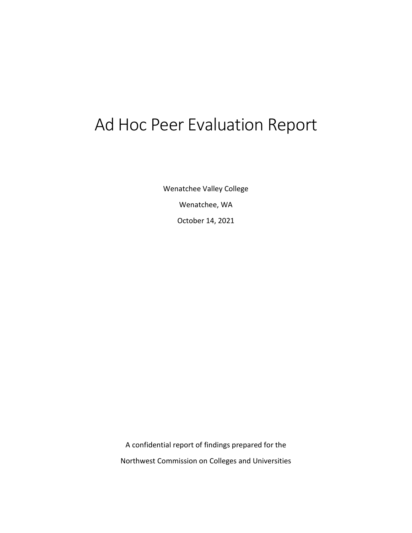# Ad Hoc Peer Evaluation Report

Wenatchee Valley College Wenatchee, WA October 14, 2021

A confidential report of findings prepared for the Northwest Commission on Colleges and Universities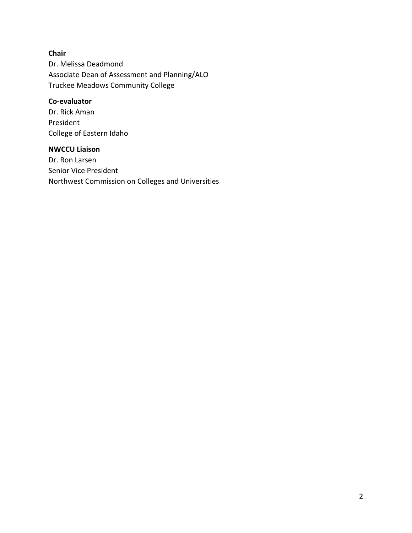# **Chair** Dr. Melissa Deadmond Associate Dean of Assessment and Planning/ALO Truckee Meadows Community College

## **Co-evaluator**

Dr. Rick Aman President College of Eastern Idaho

#### **NWCCU Liaison**

Dr. Ron Larsen Senior Vice President Northwest Commission on Colleges and Universities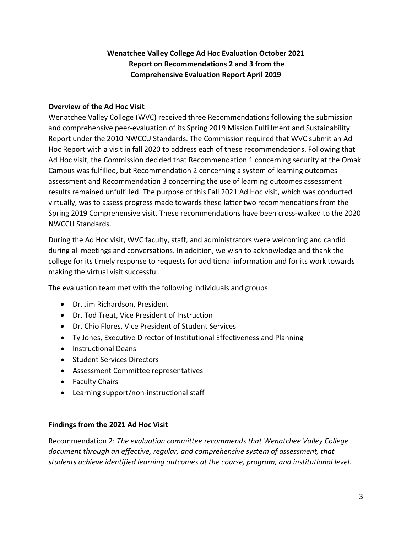# **Wenatchee Valley College Ad Hoc Evaluation October 2021 Report on Recommendations 2 and 3 from the Comprehensive Evaluation Report April 2019**

#### **Overview of the Ad Hoc Visit**

Wenatchee Valley College (WVC) received three Recommendations following the submission and comprehensive peer-evaluation of its Spring 2019 Mission Fulfillment and Sustainability Report under the 2010 NWCCU Standards. The Commission required that WVC submit an Ad Hoc Report with a visit in fall 2020 to address each of these recommendations. Following that Ad Hoc visit, the Commission decided that Recommendation 1 concerning security at the Omak Campus was fulfilled, but Recommendation 2 concerning a system of learning outcomes assessment and Recommendation 3 concerning the use of learning outcomes assessment results remained unfulfilled. The purpose of this Fall 2021 Ad Hoc visit, which was conducted virtually, was to assess progress made towards these latter two recommendations from the Spring 2019 Comprehensive visit. These recommendations have been cross-walked to the 2020 NWCCU Standards.

During the Ad Hoc visit, WVC faculty, staff, and administrators were welcoming and candid during all meetings and conversations. In addition, we wish to acknowledge and thank the college for its timely response to requests for additional information and for its work towards making the virtual visit successful.

The evaluation team met with the following individuals and groups:

- Dr. Jim Richardson, President
- Dr. Tod Treat, Vice President of Instruction
- Dr. Chio Flores, Vice President of Student Services
- Ty Jones, Executive Director of Institutional Effectiveness and Planning
- Instructional Deans
- Student Services Directors
- Assessment Committee representatives
- Faculty Chairs
- Learning support/non-instructional staff

#### **Findings from the 2021 Ad Hoc Visit**

Recommendation 2: *The evaluation committee recommends that Wenatchee Valley College document through an effective, regular, and comprehensive system of assessment, that students achieve identified learning outcomes at the course, program, and institutional level.*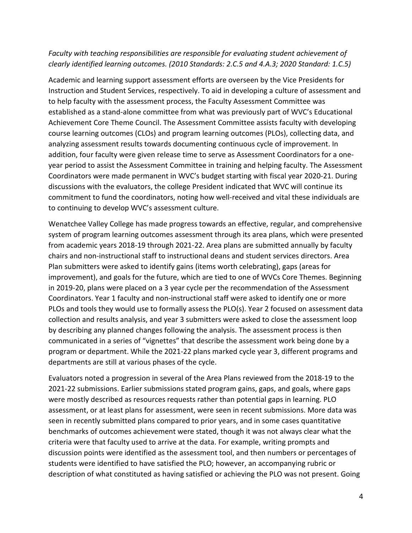### *Faculty with teaching responsibilities are responsible for evaluating student achievement of clearly identified learning outcomes. (2010 Standards: 2.C.5 and 4.A.3; 2020 Standard: 1.C.5)*

Academic and learning support assessment efforts are overseen by the Vice Presidents for Instruction and Student Services, respectively. To aid in developing a culture of assessment and to help faculty with the assessment process, the Faculty Assessment Committee was established as a stand-alone committee from what was previously part of WVC's Educational Achievement Core Theme Council. The Assessment Committee assists faculty with developing course learning outcomes (CLOs) and program learning outcomes (PLOs), collecting data, and analyzing assessment results towards documenting continuous cycle of improvement. In addition, four faculty were given release time to serve as Assessment Coordinators for a oneyear period to assist the Assessment Committee in training and helping faculty. The Assessment Coordinators were made permanent in WVC's budget starting with fiscal year 2020-21. During discussions with the evaluators, the college President indicated that WVC will continue its commitment to fund the coordinators, noting how well-received and vital these individuals are to continuing to develop WVC's assessment culture.

Wenatchee Valley College has made progress towards an effective, regular, and comprehensive system of program learning outcomes assessment through its area plans, which were presented from academic years 2018-19 through 2021-22. Area plans are submitted annually by faculty chairs and non-instructional staff to instructional deans and student services directors. Area Plan submitters were asked to identify gains (items worth celebrating), gaps (areas for improvement), and goals for the future, which are tied to one of WVCs Core Themes. Beginning in 2019-20, plans were placed on a 3 year cycle per the recommendation of the Assessment Coordinators. Year 1 faculty and non-instructional staff were asked to identify one or more PLOs and tools they would use to formally assess the PLO(s). Year 2 focused on assessment data collection and results analysis, and year 3 submitters were asked to close the assessment loop by describing any planned changes following the analysis. The assessment process is then communicated in a series of "vignettes" that describe the assessment work being done by a program or department. While the 2021-22 plans marked cycle year 3, different programs and departments are still at various phases of the cycle.

Evaluators noted a progression in several of the Area Plans reviewed from the 2018-19 to the 2021-22 submissions. Earlier submissions stated program gains, gaps, and goals, where gaps were mostly described as resources requests rather than potential gaps in learning. PLO assessment, or at least plans for assessment, were seen in recent submissions. More data was seen in recently submitted plans compared to prior years, and in some cases quantitative benchmarks of outcomes achievement were stated, though it was not always clear what the criteria were that faculty used to arrive at the data. For example, writing prompts and discussion points were identified as the assessment tool, and then numbers or percentages of students were identified to have satisfied the PLO; however, an accompanying rubric or description of what constituted as having satisfied or achieving the PLO was not present. Going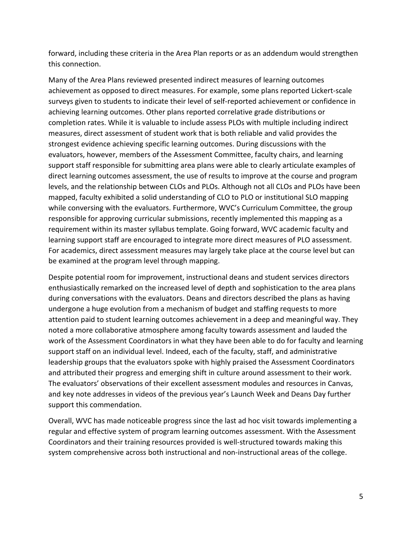forward, including these criteria in the Area Plan reports or as an addendum would strengthen this connection.

Many of the Area Plans reviewed presented indirect measures of learning outcomes achievement as opposed to direct measures. For example, some plans reported Lickert-scale surveys given to students to indicate their level of self-reported achievement or confidence in achieving learning outcomes. Other plans reported correlative grade distributions or completion rates. While it is valuable to include assess PLOs with multiple including indirect measures, direct assessment of student work that is both reliable and valid provides the strongest evidence achieving specific learning outcomes. During discussions with the evaluators, however, members of the Assessment Committee, faculty chairs, and learning support staff responsible for submitting area plans were able to clearly articulate examples of direct learning outcomes assessment, the use of results to improve at the course and program levels, and the relationship between CLOs and PLOs. Although not all CLOs and PLOs have been mapped, faculty exhibited a solid understanding of CLO to PLO or institutional SLO mapping while conversing with the evaluators. Furthermore, WVC's Curriculum Committee, the group responsible for approving curricular submissions, recently implemented this mapping as a requirement within its master syllabus template. Going forward, WVC academic faculty and learning support staff are encouraged to integrate more direct measures of PLO assessment. For academics, direct assessment measures may largely take place at the course level but can be examined at the program level through mapping.

Despite potential room for improvement, instructional deans and student services directors enthusiastically remarked on the increased level of depth and sophistication to the area plans during conversations with the evaluators. Deans and directors described the plans as having undergone a huge evolution from a mechanism of budget and staffing requests to more attention paid to student learning outcomes achievement in a deep and meaningful way. They noted a more collaborative atmosphere among faculty towards assessment and lauded the work of the Assessment Coordinators in what they have been able to do for faculty and learning support staff on an individual level. Indeed, each of the faculty, staff, and administrative leadership groups that the evaluators spoke with highly praised the Assessment Coordinators and attributed their progress and emerging shift in culture around assessment to their work. The evaluators' observations of their excellent assessment modules and resources in Canvas, and key note addresses in videos of the previous year's Launch Week and Deans Day further support this commendation.

Overall, WVC has made noticeable progress since the last ad hoc visit towards implementing a regular and effective system of program learning outcomes assessment. With the Assessment Coordinators and their training resources provided is well-structured towards making this system comprehensive across both instructional and non-instructional areas of the college.